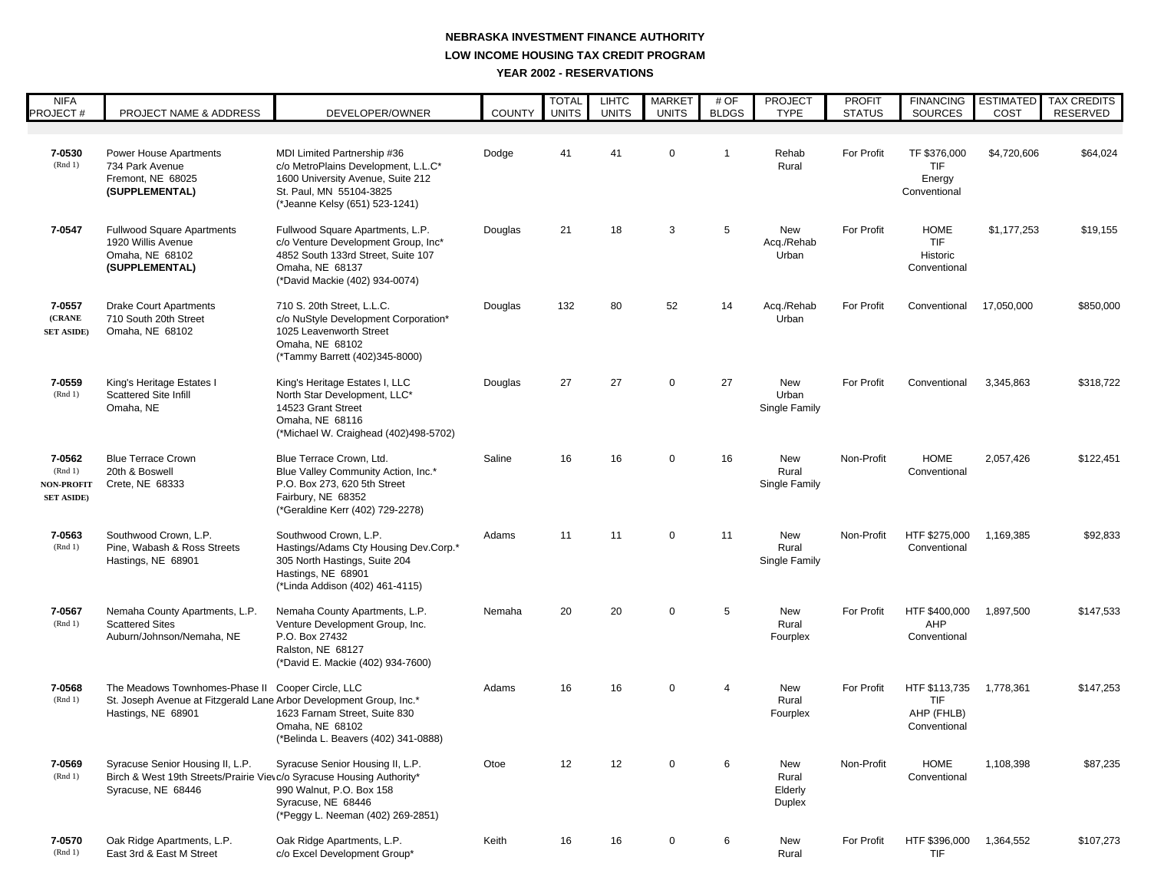## **LOW INCOME HOUSING TAX CREDIT PROGRAM YEAR 2002 - RESERVATIONS NEBRASKA INVESTMENT FINANCE AUTHORITY**

| <b>NIFA</b><br><b>PROJECT#</b>                              | PROJECT NAME & ADDRESS                                                                                                          | DEVELOPER/OWNER                                                                                                                                                      | <b>COUNTY</b> | <b>TOTAL</b><br><b>UNITS</b> | <b>LIHTC</b><br><b>UNITS</b> | <b>MARKET</b><br><b>UNITS</b> | # OF<br><b>BLDGS</b> | <b>PROJECT</b><br><b>TYPE</b>            | <b>PROFIT</b><br><b>STATUS</b> | <b>FINANCING</b><br>SOURCES                        | <b>ESTIMATED</b><br>COST | <b>TAX CREDITS</b><br>RESERVED |
|-------------------------------------------------------------|---------------------------------------------------------------------------------------------------------------------------------|----------------------------------------------------------------------------------------------------------------------------------------------------------------------|---------------|------------------------------|------------------------------|-------------------------------|----------------------|------------------------------------------|--------------------------------|----------------------------------------------------|--------------------------|--------------------------------|
|                                                             |                                                                                                                                 |                                                                                                                                                                      |               |                              |                              |                               |                      |                                          |                                |                                                    |                          |                                |
| 7-0530<br>(Rnd 1)                                           | Power House Apartments<br>734 Park Avenue<br>Fremont, NE 68025<br>(SUPPLEMENTAL)                                                | MDI Limited Partnership #36<br>c/o MetroPlains Development, L.L.C*<br>1600 University Avenue, Suite 212<br>St. Paul, MN 55104-3825<br>(*Jeanne Kelsy (651) 523-1241) | Dodge         | 41                           | 41                           | $\mathbf 0$                   | $\mathbf{1}$         | Rehab<br>Rural                           | For Profit                     | TF \$376,000<br>TIF<br>Energy<br>Conventional      | \$4,720,606              | \$64,024                       |
| 7-0547                                                      | <b>Fullwood Square Apartments</b><br>1920 Willis Avenue<br>Omaha, NE 68102<br>(SUPPLEMENTAL)                                    | Fullwood Square Apartments, L.P.<br>c/o Venture Development Group, Inc*<br>4852 South 133rd Street, Suite 107<br>Omaha, NE 68137<br>(*David Mackie (402) 934-0074)   | Douglas       | 21                           | 18                           | 3                             | 5                    | New<br>Acq./Rehab<br>Urban               | For Profit                     | <b>HOME</b><br>TIF<br>Historic<br>Conventional     | \$1,177,253              | \$19,155                       |
| 7-0557<br>(CRANE<br><b>SET ASIDE)</b>                       | <b>Drake Court Apartments</b><br>710 South 20th Street<br>Omaha, NE 68102                                                       | 710 S. 20th Street, L.L.C.<br>c/o NuStyle Development Corporation*<br>1025 Leavenworth Street<br>Omaha, NE 68102<br>(*Tammy Barrett (402)345-8000)                   | Douglas       | 132                          | 80                           | 52                            | 14                   | Acq./Rehab<br>Urban                      | <b>For Profit</b>              | Conventional                                       | 17,050,000               | \$850,000                      |
| 7-0559<br>(Rnd 1)                                           | King's Heritage Estates I<br><b>Scattered Site Infill</b><br>Omaha, NE                                                          | King's Heritage Estates I, LLC<br>North Star Development, LLC*<br>14523 Grant Street<br>Omaha, NE 68116<br>(*Michael W. Craighead (402)498-5702)                     | Douglas       | 27                           | 27                           | $\mathbf 0$                   | 27                   | New<br>Urban<br>Single Family            | For Profit                     | Conventional                                       | 3,345,863                | \$318,722                      |
| 7-0562<br>(Rnd 1)<br><b>NON-PROFIT</b><br><b>SET ASIDE)</b> | <b>Blue Terrace Crown</b><br>20th & Boswell<br>Crete, NE 68333                                                                  | Blue Terrace Crown, Ltd.<br>Blue Valley Community Action, Inc.*<br>P.O. Box 273, 620 5th Street<br>Fairbury, NE 68352<br>(*Geraldine Kerr (402) 729-2278)            | Saline        | 16                           | 16                           | $\mathbf 0$                   | 16                   | New<br>Rural<br>Single Family            | Non-Profit                     | <b>HOME</b><br>Conventional                        | 2,057,426                | \$122,451                      |
| 7-0563<br>(Rnd1)                                            | Southwood Crown, L.P.<br>Pine, Wabash & Ross Streets<br>Hastings, NE 68901                                                      | Southwood Crown, L.P.<br>Hastings/Adams Cty Housing Dev.Corp.*<br>305 North Hastings, Suite 204<br>Hastings, NE 68901<br>(*Linda Addison (402) 461-4115)             | Adams         | 11                           | 11                           | $\mathbf 0$                   | 11                   | <b>New</b><br>Rural<br>Single Family     | Non-Profit                     | HTF \$275,000<br>Conventional                      | 1,169,385                | \$92,833                       |
| 7-0567<br>(Rnd1)                                            | Nemaha County Apartments, L.P.<br><b>Scattered Sites</b><br>Auburn/Johnson/Nemaha, NE                                           | Nemaha County Apartments, L.P.<br>Venture Development Group, Inc.<br>P.O. Box 27432<br>Ralston, NE 68127<br>(*David E. Mackie (402) 934-7600)                        | Nemaha        | 20                           | 20                           | $\mathbf 0$                   | 5                    | New<br>Rural<br>Fourplex                 | <b>For Profit</b>              | HTF \$400,000<br>AHP<br>Conventional               | 1,897,500                | \$147,533                      |
| 7-0568<br>(Rnd1)                                            | The Meadows Townhomes-Phase II<br>St. Joseph Avenue at Fitzgerald Lane Arbor Development Group, Inc.*<br>Hastings, NE 68901     | Cooper Circle, LLC<br>1623 Farnam Street, Suite 830<br>Omaha, NE 68102<br>(*Belinda L. Beavers (402) 341-0888)                                                       | Adams         | 16                           | 16                           | $\mathbf 0$                   | 4                    | New<br>Rural<br>Fourplex                 | <b>For Profit</b>              | HTF \$113,735<br>TIF<br>AHP (FHLB)<br>Conventional | 1,778,361                | \$147,253                      |
| 7-0569<br>(Rnd 1)                                           | Syracuse Senior Housing II, L.P.<br>Birch & West 19th Streets/Prairie Vievc/o Syracuse Housing Authority*<br>Syracuse, NE 68446 | Syracuse Senior Housing II, L.P.<br>990 Walnut, P.O. Box 158<br>Syracuse, NE 68446<br>(*Peggy L. Neeman (402) 269-2851)                                              | Otoe          | 12                           | 12                           | 0                             | 6                    | New<br>Rural<br>Elderly<br><b>Duplex</b> | Non-Profit                     | <b>HOME</b><br>Conventional                        | 1,108,398                | \$87,235                       |
| 7-0570<br>(Rnd 1)                                           | Oak Ridge Apartments, L.P.<br>East 3rd & East M Street                                                                          | Oak Ridge Apartments, L.P.<br>c/o Excel Development Group*                                                                                                           | Keith         | 16                           | 16                           | $\mathbf 0$                   | 6                    | New<br>Rural                             | For Profit                     | HTF \$396,000<br>TIF                               | 1,364,552                | \$107,273                      |